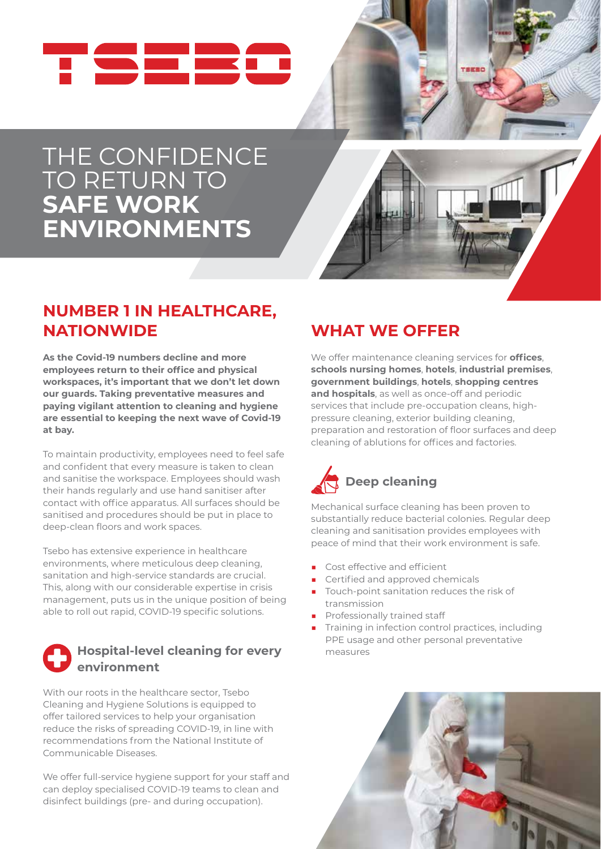

# THE CONFIDENCE TO RETURN TO **SAFE WORK ENVIRONMENTS**



TEERC

## **NUMBER 1 IN HEALTHCARE, NATIONWIDE**

**As the Covid-19 numbers decline and more employees return to their office and physical workspaces, it's important that we don't let down our guards. Taking preventative measures and paying vigilant attention to cleaning and hygiene are essential to keeping the next wave of Covid-19 at bay.** 

To maintain productivity, employees need to feel safe and confident that every measure is taken to clean and sanitise the workspace. Employees should wash their hands regularly and use hand sanitiser after contact with office apparatus. All surfaces should be sanitised and procedures should be put in place to deep-clean floors and work spaces.

Tsebo has extensive experience in healthcare environments, where meticulous deep cleaning, sanitation and high-service standards are crucial. This, along with our considerable expertise in crisis management, puts us in the unique position of being able to roll out rapid, COVID-19 specific solutions.

#### **Hospital-level cleaning for every environment**

With our roots in the healthcare sector, Tsebo Cleaning and Hygiene Solutions is equipped to offer tailored services to help your organisation reduce the risks of spreading COVID-19, in line with recommendations from the National Institute of Communicable Diseases.

We offer full-service hygiene support for your staff and can deploy specialised COVID-19 teams to clean and disinfect buildings (pre- and during occupation).

## **WHAT WE OFFER**

We offer maintenance cleaning services for **offices**, **schools nursing homes**, **hotels**, **industrial premises**, **government buildings**, **hotels**, **shopping centres and hospitals**, as well as once-off and periodic services that include pre-occupation cleans, highpressure cleaning, exterior building cleaning, preparation and restoration of floor surfaces and deep cleaning of ablutions for offices and factories.



Mechanical surface cleaning has been proven to substantially reduce bacterial colonies. Regular deep cleaning and sanitisation provides employees with peace of mind that their work environment is safe.

- Cost effective and efficient
- Certified and approved chemicals
- Touch-point sanitation reduces the risk of transmission
- Professionally trained staff
- Training in infection control practices, including PPE usage and other personal preventative measures